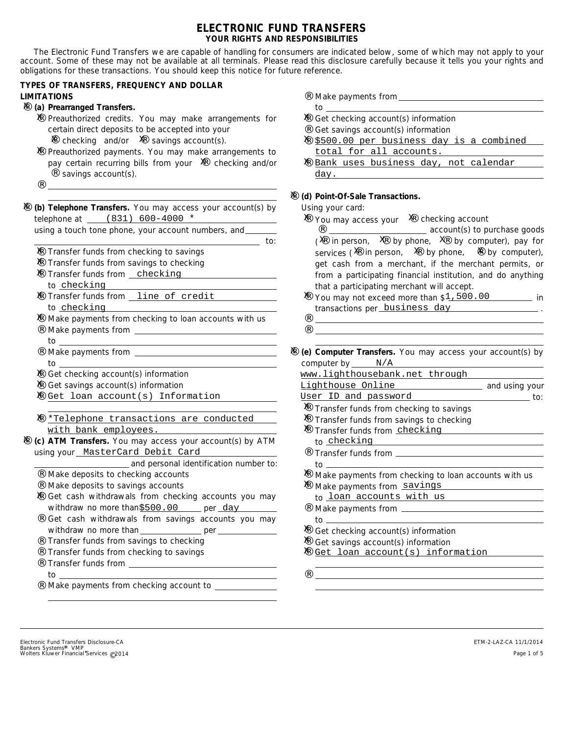# **ELECTRONIC FUND TRANSFERS YOUR RIGHTS AND RESPONSIBILITIES**

The Electronic Fund Transfers we are capable of handling for consumers are indicated below, some of which may not apply to your account. Some of these may not be available at all terminals. Please read this disclosure carefully because it tells you your rights and obligations for these transactions. You should keep this notice for future reference.

to:

# **TYPES OF TRANSFERS, FREQUENCY AND DOLLAR LIMITATIONS**

# **(a) Prearranged Transfers.** ¨ X

- X Preauthorized credits. You may make arrangements for certain direct deposits to be accepted into your  $\ddot{x}$  checking and/or  $\ddot{x}$  savings account(s).
- X Preauthorized payments. You may make arrangements to pay certain recurring bills from your  $\check{\mathrm{x}}$  checking and/or savings account(s).
- X (b) Telephone Transfers. You may access your account(s) by Using your card: telephone at \_\_\_\_(831) 600-4000 \*

| using a touch tone phone, your account numbers, and |  |  |  |
|-----------------------------------------------------|--|--|--|
|                                                     |  |  |  |

- X Transfer funds from checking to savings
- X Transfer funds from savings to checking
- X Transfer funds from <u>checking</u> to <u>checking</u>
- X Transfer funds from <u>line of credit</u> to <u>checking</u>
- X Make payments from checking to loan accounts with us Make payments from **Make payments** from  $\blacksquare$ ¨
- 

¨

- to Make payments from to ¨
- X Get checking account(s) information
- X Get savings account(s) information
- X Get loan account(s) Information
- X \*Telephone transactions are conducted with bank employees.
- **ATM Transfers.** You may access your account(s) by ATM **(c)** ¨ X using your MasterCard Debit Card

**and personal identification number to:** 

- Make deposits to checking accounts ¨
- Make deposits to savings accounts ¨
- X Get cash withdrawals from checking accounts you may withdraw no more than per \$500.00 day
- Get cash withdrawals from savings accounts you may withdraw no more than \_\_\_\_\_\_\_\_\_\_\_\_\_\_\_ per ¨
- Transfer funds from savings to checking ¨
- Transfer funds from checking to savings ¨
- Transfer funds from to ¨
- Make payments from checking account to \_\_\_\_\_\_\_\_\_\_\_\_\_ ¨
- Make payments from ¨
- to  $X$  Get checking account(s) information
- Get savings account(s) information ¨
- X \$500.00 per business day is a combined total for all accounts.
- X <u>Bank uses business day, not calendar</u> day.

# $X$  (d) Point-Of-Sale Transactions.

¨

- $X$  You may access your  $X$  checking account
- services ( $\tilde{X}$  in person,  $\tilde{X}$  by phone,  $\tilde{X}$  by computer),  $X$  You may not exceed more than  $$1,500.00$  in ¨ ¨  $X$  Transfer funds from checking to savings X Transfer funds from savings to checking X Transfer funds from checking ¨  $X$  Make payments from checking to loan accounts with us X Make payments from savings ¨  $X$  Get checking account(s) information  $X$  Get savings account(s) information X Get loan account(s) information  $(X$  in person,  $X$  by phone,  $X$  by computer), pay for get cash from a merchant, if the merchant permits, or from a participating financial institution, and do anything that a participating merchant will accept. transactions per business day \_\_\_\_\_\_\_\_\_\_\_\_\_\_\_. to checking Transfer funds from to to loan accounts with us Make payments from to X (e) Computer Transfers. You may access your account(s) by computer by \_\_\_\_\_\_ N/A Lighthouse Online \_\_\_\_\_\_\_\_\_\_\_\_\_\_\_\_\_\_\_ and using your  $\frac{1}{\sqrt{1-\frac{1}{\sqrt{1-\frac{1}{\sqrt{1-\frac{1}{\sqrt{1-\frac{1}{\sqrt{1-\frac{1}{\sqrt{1-\frac{1}{\sqrt{1-\frac{1}{\sqrt{1-\frac{1}{\sqrt{1-\frac{1}{\sqrt{1-\frac{1}{\sqrt{1-\frac{1}{\sqrt{1-\frac{1}{\sqrt{1-\frac{1}{\sqrt{1-\frac{1}{\sqrt{1-\frac{1}{\sqrt{1-\frac{1}{\sqrt{1-\frac{1}{\sqrt{1-\frac{1}{\sqrt{1-\frac{1}{\sqrt{1-\frac{1}{\sqrt{1-\frac{1}{\sqrt{1-\frac{1}{\sqrt{1-\frac{1}{\sqrt{1-\frac{1$ **account(s)** to purchase goods ¨  $\ddot{x}$  in person,  $\ddot{x}$  by phone,  $\ddot{x}$ www.lighthousebank.net through User ID and password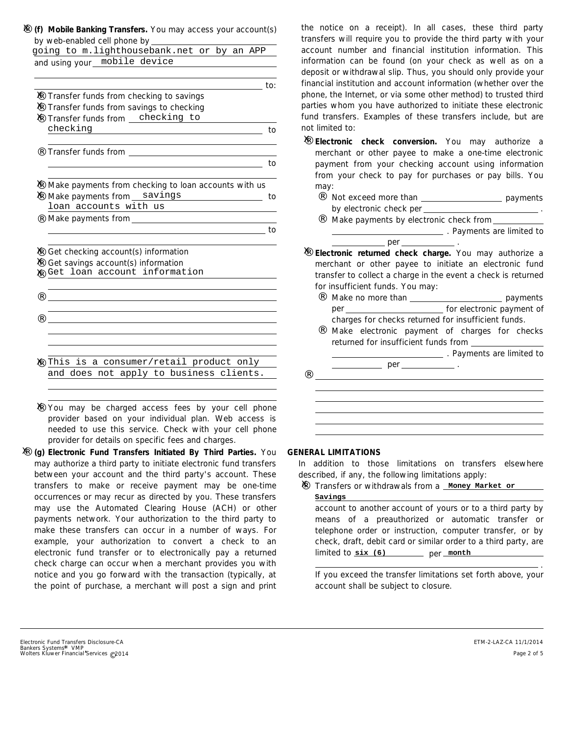|  | $X$ (f) Mobile Banking Transfers. You may access your account(s) |  |  |  |  |
|--|------------------------------------------------------------------|--|--|--|--|
|  | by web-enabled cell phone by                                     |  |  |  |  |

| going to m.lighthousebank.net or by an APP           |
|------------------------------------------------------|
|                                                      |
|                                                      |
| _____________ to:                                    |
|                                                      |
|                                                      |
|                                                      |
| to                                                   |
|                                                      |
| to                                                   |
| Make payments from checking to loan accounts with us |
| Make payments from savings<br>to                     |
|                                                      |
|                                                      |
|                                                      |
|                                                      |
|                                                      |
|                                                      |
|                                                      |
|                                                      |
|                                                      |
|                                                      |
|                                                      |
| This is a consumer/retail product only               |
| and does not apply to business clients.              |
|                                                      |

X You may be charged access fees by your cell phone provider based on your individual plan. Web access is needed to use this service. Check with your cell phone provider for details on specific fees and charges.

may authorize a third party to initiate electronic fund transfers between your account and the third party's account. These transfers to make or receive payment may be one-time occurrences or may recur as directed by you. These transfers may use the Automated Clearing House (ACH) or other payments network. Your authorization to the third party to make these transfers can occur in a number of ways. For example, your authorization to convert a check to an electronic fund transfer or to electronically pay a returned check charge can occur when a merchant provides you with notice and you go forward with the transaction (typically, at the point of purchase, a merchant will post a sign and print **(g) Electronic Fund Transfers Initiated By Third Parties.** You ¨ X

the notice on a receipt). In all cases, these third party transfers will require you to provide the third party with your account number and financial institution information. This information can be found (on your check as well as on a deposit or withdrawal slip. Thus, you should only provide your financial institution and account information (whether over the phone, the Internet, or via some other method) to trusted third parties whom you have authorized to initiate these electronic fund transfers. Examples of these transfers include, but are not limited to:

- **Electronic check conversion.** You may authorize a ¨ X merchant or other payee to make a one-time electronic payment from your checking account using information from your check to pay for purchases or pay bills. You may:
	- ¨ Not exceed more than \_\_\_\_\_\_\_\_\_\_\_\_\_\_\_\_\_\_\_\_\_\_ payments by electronic check per .
	- ¨ Make payments by electronic check from **Example 2** . Payments are limited to

#### **Electronic returned check charge.** You may authorize a ¨ X merchant or other payee to initiate an electronic fund transfer to collect a charge in the event a check is returned for insufficient funds. You may: .  $p$ er $=$

- s payments for electronic payment of ¨ Make no more than per
- ¨ charges for checks returned for insufficient funds. Make electronic payment of charges for checks returned for insufficient funds from

**Example 23** . Payments are limited to

per .

# **GENERAL LIMITATIONS**

 $\ddot{ }$ 

In addition to those limitations on transfers elsewhere described, if any, the following limitations apply:

# X Transfers or withdrawals from a **Money Market or**

account to another account of yours or to a third party by means of a preauthorized or automatic transfer or telephone order or instruction, computer transfer, or by check, draft, debit card or similar order to a third party, are limited to <u>six (6) \_\_\_\_\_\_\_\_</u> per <u>\_month</u> **Savings**

If you exceed the transfer limitations set forth above, your account shall be subject to closure. .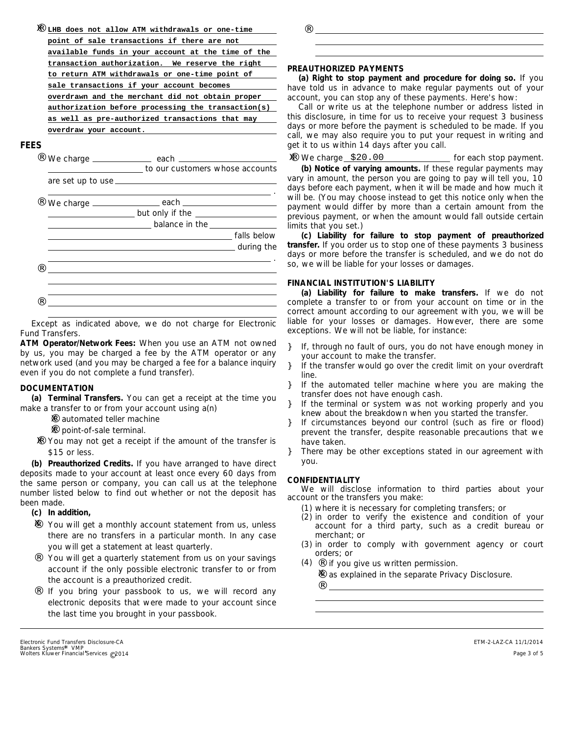| X | LHB does not allow ATM withdrawals or one-time     |
|---|----------------------------------------------------|
|   | point of sale transactions if there are not        |
|   | available funds in your account at the time of the |
|   | transaction authorization. We reserve the right    |
|   | to return ATM withdrawals or one-time point of     |
|   | sale transactions if your account becomes          |
|   | overdrawn and the merchant did not obtain proper   |
|   | authorization before processing the transaction(s) |
|   | as well as pre-authorized transactions that may    |
|   | overdraw your account.                             |
|   |                                                    |

## **FEES**

| . . |                                             |
|-----|---------------------------------------------|
|     | to our customers whose accounts             |
|     |                                             |
| . . |                                             |
|     | $\frac{1}{2}$ but only if the $\frac{1}{2}$ |
|     | balance in the ________________             |
|     | falls below                                 |
|     |                                             |
|     |                                             |
|     |                                             |
|     |                                             |
|     |                                             |

Except as indicated above, we do not charge for Electronic Fund Transfers.

**ATM Operator/Network Fees:** When you use an ATM not owned by us, you may be charged a fee by the ATM operator or any network used (and you may be charged a fee for a balance inquiry even if you do not complete a fund transfer).

# **DOCUMENTATION**

**(a) Terminal Transfers.** You can get a receipt at the time you make a transfer to or from your account using a(n)

- $\ddot{x}$  automated teller machine
- $\ddot{x}$  point-of-sale terminal.
- X You may not get a receipt if the amount of the transfer is \$15 or less.

**(b) Preauthorized Credits.** If you have arranged to have direct deposits made to your account at least once every 60 days from the same person or company, you can call us at the telephone number listed below to find out whether or not the deposit has been made.

- **(c) In addition,**
- X You will get a monthly account statement from us, unless there are no transfers in a particular month. In any case you will get a statement at least quarterly.
- ¨ You will get a quarterly statement from us on your savings account if the only possible electronic transfer to or from the account is a preauthorized credit.
- ¨ If you bring your passbook to us, we will record any electronic deposits that were made to your account since the last time you brought in your passbook.

#### **PREAUTHORIZED PAYMENTS**

¨

**(a) Right to stop payment and procedure for doing so.** If you have told us in advance to make regular payments out of your account, you can stop any of these payments. Here's how:

Call or write us at the telephone number or address listed in this disclosure, in time for us to receive your request 3 business days or more before the payment is scheduled to be made. If you call, we may also require you to put your request in writing and get it to us within 14 days after you call.

**(b) Notice of varying amounts.** If these regular payments may vary in amount, the person you are going to pay will tell you, 10 days before each payment, when it will be made and how much it will be. (You may choose instead to get this notice only when the payment would differ by more than a certain amount from the previous payment, or when the amount would fall outside certain limits that you set.) for each stop payment. We charge ¨ X \$20.00

**(c) Liability for failure to stop payment of preauthorized transfer.** If you order us to stop one of these payments 3 business days or more before the transfer is scheduled, and we do not do so, we will be liable for your losses or damages.

## **FINANCIAL INSTITUTION'S LIABILITY**

**(a) Liability for failure to make transfers.** If we do not complete a transfer to or from your account on time or in the correct amount according to our agreement with you, we will be liable for your losses or damages. However, there are some exceptions. We will not be liable, for instance:

- If, through no fault of ours, you do not have enough money in your account to make the transfer. }
- If the transfer would go over the credit limit on your overdraft line. }
- If the automated teller machine where you are making the transfer does not have enough cash. }
- If the terminal or system was not working properly and you knew about the breakdown when you started the transfer. }
- If circumstances beyond our control (such as fire or flood) prevent the transfer, despite reasonable precautions that we have taken. }
- There may be other exceptions stated in our agreement with you. }

#### **CONFIDENTIALITY**

¨

We will disclose information to third parties about your account or the transfers you make:

- (1) where it is necessary for completing transfers; or
- (2) in order to verify the existence and condition of your account for a third party, such as a credit bureau or merchant; or
- (3) in order to comply with government agency or court orders; or
- $(4)$   $\cdots$  if you give us written permission.
	- $X$  as explained in the separate Privacy Disclosure.

Bankers Systems\* VMP<br>Wolters Kluwer Financial Services © 2014 Electronic Fund Transfers Disclosure-CA

ETM-2-LAZ-CA 11/1/2014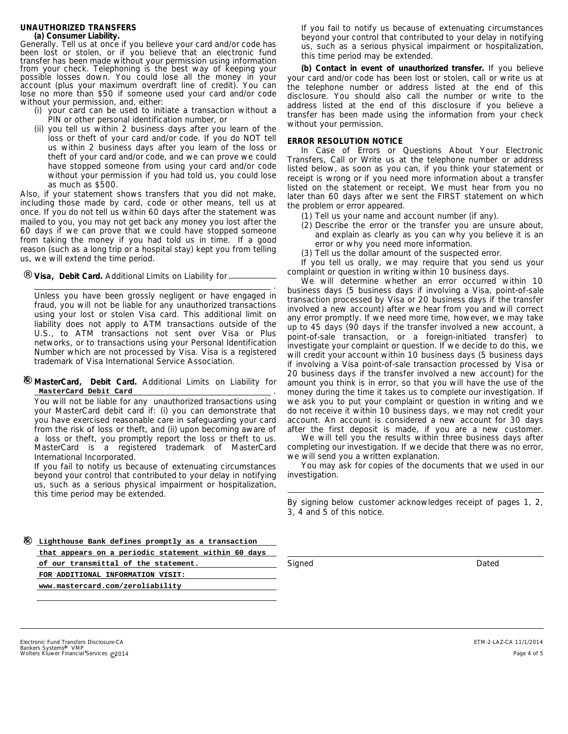# **UNAUTHORIZED TRANSFERS**

#### **(a) Consumer Liability.**

Generally. Tell us at once if you believe your card and/or code has been lost or stolen, or if you believe that an electronic fund transfer has been made without your permission using information from your check. Telephoning is the best way of keeping your possible losses down. You could lose all the money in your account (plus your maximum overdraft line of credit). You can lose no more than \$50 if someone used your card and/or code without your permission, and, either:

- (i) your card can be used to initiate a transaction without a PIN or other personal identification number, or
- (ii) you tell us within 2 business days after you learn of the loss or theft of your card and/or code. If you do NOT tell us within 2 business days after you learn of the loss or theft of your card and/or code, and we can prove we could have stopped someone from using your card and/or code without your permission if you had told us, you could lose as much as \$500.

Also, if your statement shows transfers that you did not make, including those made by card, code or other means, tell us at once. If you do not tell us within 60 days after the statement was mailed to you, you may not get back any money you lost after the 60 days if we can prove that we could have stopped someone from taking the money if you had told us in time. If a good reason (such as a long trip or a hospital stay) kept you from telling us, we will extend the time period.

¨ **Visa, Debit Card.** Additional Limits on Liability for  $\equiv$ 

. Unless you have been grossly negligent or have engaged in fraud, you will not be liable for any unauthorized transactions using your lost or stolen Visa card. This additional limit on liability does not apply to ATM transactions outside of the U.S., to ATM transactions not sent over Visa or Plus networks, or to transactions using your Personal Identification Number which are not processed by Visa. Visa is a registered trademark of Visa International Service Association.

#### **MasterCard**,**Debit Card.** Additional Limits on Liability for ¨ . X **MasterCard Debit Card**

You will not be liable for any unauthorized transactions using your MasterCard debit card if: (i) you can demonstrate that you have exercised reasonable care in safeguarding your card from the risk of loss or theft, and (ii) upon becoming aware of a loss or theft, you promptly report the loss or theft to us. MasterCard is a registered trademark of MasterCard International Incorporated.

If you fail to notify us because of extenuating circumstances beyond your control that contributed to your delay in notifying us, such as a serious physical impairment or hospitalization, this time period may be extended.

If you fail to notify us because of extenuating circumstances beyond your control that contributed to your delay in notifying us, such as a serious physical impairment or hospitalization, this time period may be extended.

**(b) Contact in event of unauthorized transfer.** If you believe your card and/or code has been lost or stolen, call or write us at the telephone number or address listed at the end of this disclosure. You should also call the number or write to the address listed at the end of this disclosure if you believe a transfer has been made using the information from your check without your permission.

#### **ERROR RESOLUTION NOTICE**

In Case of Errors or Questions About Your Electronic Transfers, Call or Write us at the telephone number or address listed below, as soon as you can, if you think your statement or receipt is wrong or if you need more information about a transfer listed on the statement or receipt. We must hear from you no later than 60 days after we sent the FIRST statement on which the problem or error appeared.

- (1) Tell us your name and account number (if any).
- (2) Describe the error or the transfer you are unsure about, and explain as clearly as you can why you believe it is an error or why you need more information.
- Tell us the dollar amount of the suspected error. (3)

If you tell us orally, we may require that you send us your complaint or question in writing within 10 business days.

We will determine whether an error occurred within 10 business days (5 business days if involving a Visa, point-of-sale transaction processed by Visa or 20 business days if the transfer involved a new account) after we hear from you and will correct any error promptly. If we need more time, however, we may take up to 45 days (90 days if the transfer involved a new account, a point-of-sale transaction, or a foreign-initiated transfer) to investigate your complaint or question. If we decide to do this, we will credit your account within 10 business days (5 business days if involving a Visa point-of-sale transaction processed by Visa or 20 business days if the transfer involved a new account) for the amount you think is in error, so that you will have the use of the money during the time it takes us to complete our investigation. If we ask you to put your complaint or question in writing and we do not receive it within 10 business days, we may not credit your account. An account is considered a new account for 30 days after the first deposit is made, if you are a new customer.

We will tell you the results within three business days after completing our investigation. If we decide that there was no error, we will send you a written explanation.

You may ask for copies of the documents that we used in our investigation.

*By signing below customer acknowledges receipt of pages 1, 2, 3, 4 and 5 of this notice.*

*Signed Dated*

¨ X **Lighthouse Bank defines promptly as a transaction that appears on a periodic statement within 60 days of our transmittal of the statement. FOR ADDITIONAL INFORMATION VISIT: www.mastercard.com/zeroliability**

Bankers Systems\* VMP<br>Wolters Kluwer Financial Services © 2014 Electronic Fund Transfers Disclosure-CA

ETM-2-LAZ-CA 11/1/2014